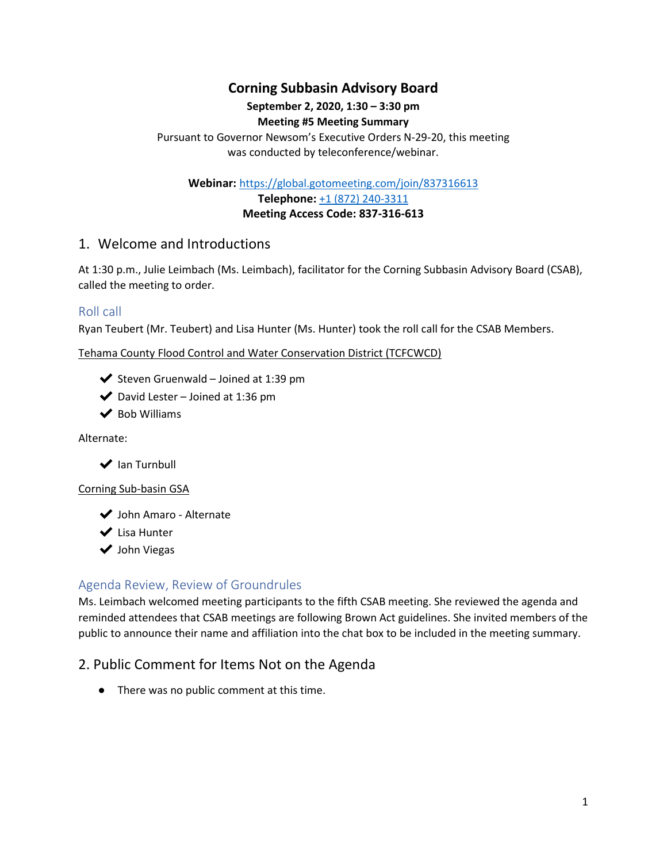# **Corning Subbasin Advisory Board**

# **September 2, 2020, 1:30 – 3:30 pm**

### **Meeting #5 Meeting Summary**

Pursuant to Governor Newsom's Executive Orders N-29-20, this meeting was conducted by teleconference/webinar.

**Webinar:** <https://global.gotomeeting.com/join/837316613>

**Telephone:** [+1 \(872\) 240-3311](about:blank) **Meeting Access Code: 837-316-613**

# 1. Welcome and Introductions

At 1:30 p.m., Julie Leimbach (Ms. Leimbach), facilitator for the Corning Subbasin Advisory Board (CSAB), called the meeting to order.

## Roll call

Ryan Teubert (Mr. Teubert) and Lisa Hunter (Ms. Hunter) took the roll call for the CSAB Members.

Tehama County Flood Control and Water Conservation District (TCFCWCD)

- ◆ Steven Gruenwald Joined at 1:39 pm
- $\blacktriangleright$  David Lester Joined at 1:36 pm
- $\blacktriangleright$  Bob Williams

Alternate:

 $\blacktriangleright$  Ian Turnbull

#### Corning Sub-basin GSA

◆ John Amaro - Alternate

◆ Lisa Hunter

◆ John Viegas

# Agenda Review, Review of Groundrules

Ms. Leimbach welcomed meeting participants to the fifth CSAB meeting. She reviewed the agenda and reminded attendees that CSAB meetings are following Brown Act guidelines. She invited members of the public to announce their name and affiliation into the chat box to be included in the meeting summary.

# 2. Public Comment for Items Not on the Agenda

● There was no public comment at this time.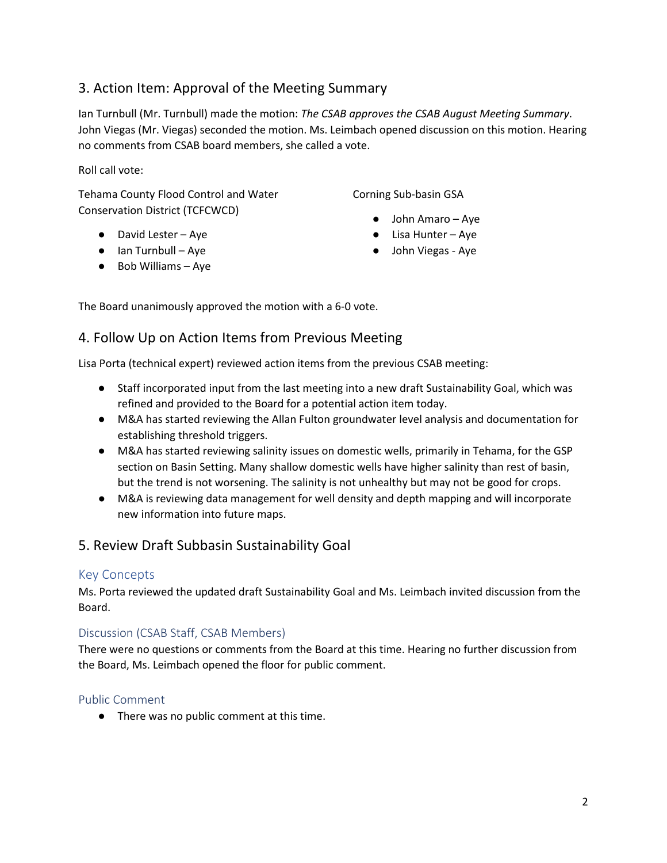# 3. Action Item: Approval of the Meeting Summary

Ian Turnbull (Mr. Turnbull) made the motion: *The CSAB approves the CSAB August Meeting Summary*. John Viegas (Mr. Viegas) seconded the motion. Ms. Leimbach opened discussion on this motion. Hearing no comments from CSAB board members, she called a vote.

Roll call vote:

Tehama County Flood Control and Water Conservation District (TCFCWCD)

- David Lester Aye
- Ian Turnbull Aye
- Bob Williams Aye

Corning Sub-basin GSA

- John Amaro Aye
- Lisa Hunter Aye
- John Viegas Aye

The Board unanimously approved the motion with a 6-0 vote.

# 4. Follow Up on Action Items from Previous Meeting

Lisa Porta (technical expert) reviewed action items from the previous CSAB meeting:

- Staff incorporated input from the last meeting into a new draft Sustainability Goal, which was refined and provided to the Board for a potential action item today.
- M&A has started reviewing the Allan Fulton groundwater level analysis and documentation for establishing threshold triggers.
- M&A has started reviewing salinity issues on domestic wells, primarily in Tehama, for the GSP section on Basin Setting. Many shallow domestic wells have higher salinity than rest of basin, but the trend is not worsening. The salinity is not unhealthy but may not be good for crops.
- M&A is reviewing data management for well density and depth mapping and will incorporate new information into future maps.

# 5. Review Draft Subbasin Sustainability Goal

## Key Concepts

Ms. Porta reviewed the updated draft Sustainability Goal and Ms. Leimbach invited discussion from the Board.

## Discussion (CSAB Staff, CSAB Members)

There were no questions or comments from the Board at this time. Hearing no further discussion from the Board, Ms. Leimbach opened the floor for public comment.

#### Public Comment

● There was no public comment at this time.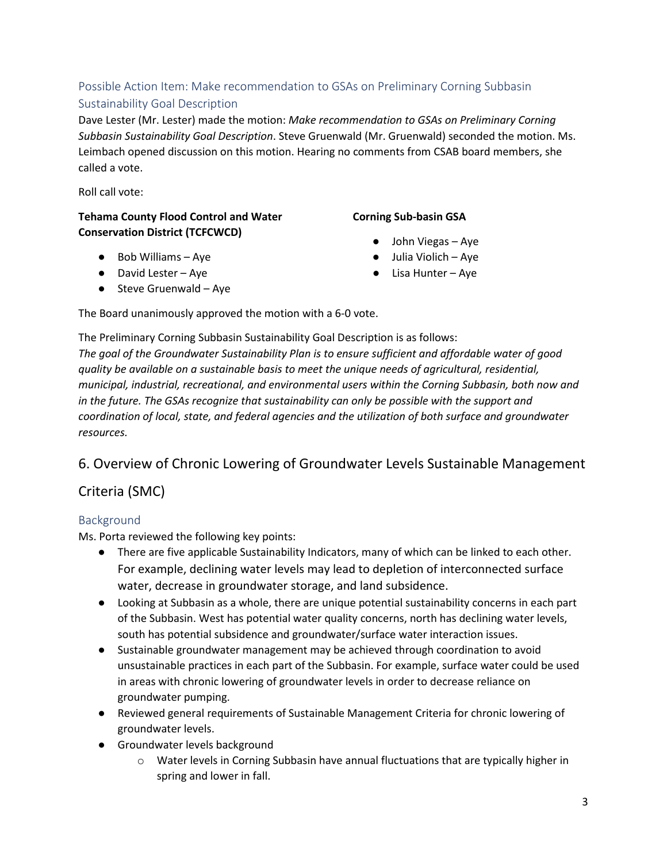# Possible Action Item: Make recommendation to GSAs on Preliminary Corning Subbasin Sustainability Goal Description

Dave Lester (Mr. Lester) made the motion: *Make recommendation to GSAs on Preliminary Corning Subbasin Sustainability Goal Description*. Steve Gruenwald (Mr. Gruenwald) seconded the motion. Ms. Leimbach opened discussion on this motion. Hearing no comments from CSAB board members, she called a vote.

Roll call vote:

#### **Tehama County Flood Control and Water Conservation District (TCFCWCD)**

## ● Bob Williams – Aye

- David Lester Aye
- $\bullet$  Steve Gruenwald Aye

### **Corning Sub-basin GSA**

- John Viegas Aye
- Julia Violich Aye
- Lisa Hunter Aye

The Board unanimously approved the motion with a 6-0 vote.

The Preliminary Corning Subbasin Sustainability Goal Description is as follows: *The goal of the Groundwater Sustainability Plan is to ensure sufficient and affordable water of good quality be available on a sustainable basis to meet the unique needs of agricultural, residential, municipal, industrial, recreational, and environmental users within the Corning Subbasin, both now and in the future. The GSAs recognize that sustainability can only be possible with the support and coordination of local, state, and federal agencies and the utilization of both surface and groundwater resources.*

# 6. Overview of Chronic Lowering of Groundwater Levels Sustainable Management

# Criteria (SMC)

## Background

Ms. Porta reviewed the following key points:

- There are five applicable Sustainability Indicators, many of which can be linked to each other. For example, declining water levels may lead to depletion of interconnected surface water, decrease in groundwater storage, and land subsidence.
- Looking at Subbasin as a whole, there are unique potential sustainability concerns in each part of the Subbasin. West has potential water quality concerns, north has declining water levels, south has potential subsidence and groundwater/surface water interaction issues.
- Sustainable groundwater management may be achieved through coordination to avoid unsustainable practices in each part of the Subbasin. For example, surface water could be used in areas with chronic lowering of groundwater levels in order to decrease reliance on groundwater pumping*.*
- Reviewed general requirements of Sustainable Management Criteria for chronic lowering of groundwater levels.
- Groundwater levels background
	- $\circ$  Water levels in Corning Subbasin have annual fluctuations that are typically higher in spring and lower in fall.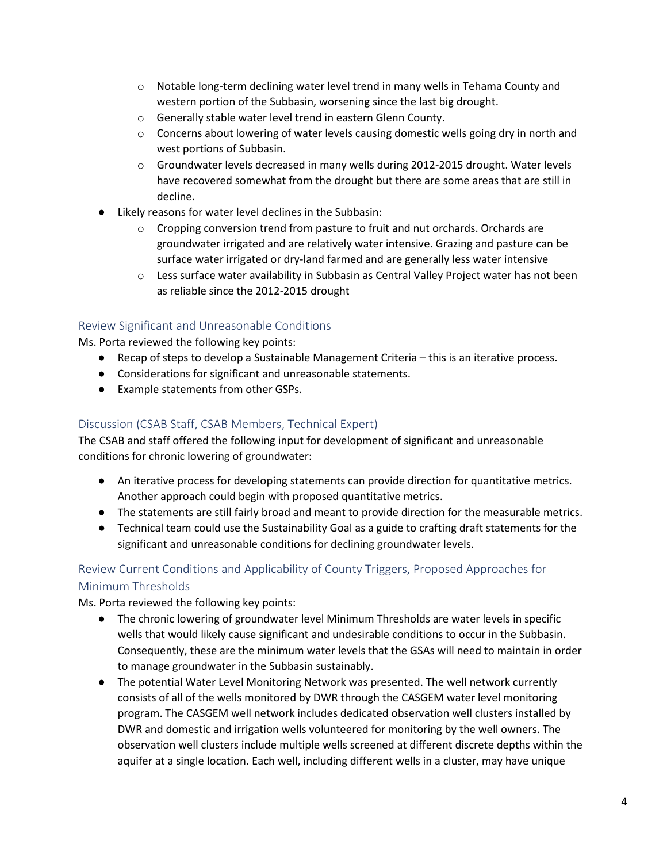- o Notable long-term declining water level trend in many wells in Tehama County and western portion of the Subbasin, worsening since the last big drought.
- o Generally stable water level trend in eastern Glenn County.
- $\circ$  Concerns about lowering of water levels causing domestic wells going dry in north and west portions of Subbasin.
- o Groundwater levels decreased in many wells during 2012-2015 drought. Water levels have recovered somewhat from the drought but there are some areas that are still in decline.
- Likely reasons for water level declines in the Subbasin:
	- o Cropping conversion trend from pasture to fruit and nut orchards. Orchards are groundwater irrigated and are relatively water intensive. Grazing and pasture can be surface water irrigated or dry-land farmed and are generally less water intensive
	- o Less surface water availability in Subbasin as Central Valley Project water has not been as reliable since the 2012-2015 drought

#### Review Significant and Unreasonable Conditions

Ms. Porta reviewed the following key points:

- Recap of steps to develop a Sustainable Management Criteria this is an iterative process.
- Considerations for significant and unreasonable statements.
- Example statements from other GSPs.

#### Discussion (CSAB Staff, CSAB Members, Technical Expert)

The CSAB and staff offered the following input for development of significant and unreasonable conditions for chronic lowering of groundwater:

- An iterative process for developing statements can provide direction for quantitative metrics. Another approach could begin with proposed quantitative metrics.
- The statements are still fairly broad and meant to provide direction for the measurable metrics.
- Technical team could use the Sustainability Goal as a guide to crafting draft statements for the significant and unreasonable conditions for declining groundwater levels.

## Review Current Conditions and Applicability of County Triggers, Proposed Approaches for Minimum Thresholds

Ms. Porta reviewed the following key points:

- The chronic lowering of groundwater level Minimum Thresholds are water levels in specific wells that would likely cause significant and undesirable conditions to occur in the Subbasin. Consequently, these are the minimum water levels that the GSAs will need to maintain in order to manage groundwater in the Subbasin sustainably.
- The potential Water Level Monitoring Network was presented. The well network currently consists of all of the wells monitored by DWR through the CASGEM water level monitoring program. The CASGEM well network includes dedicated observation well clusters installed by DWR and domestic and irrigation wells volunteered for monitoring by the well owners. The observation well clusters include multiple wells screened at different discrete depths within the aquifer at a single location. Each well, including different wells in a cluster, may have unique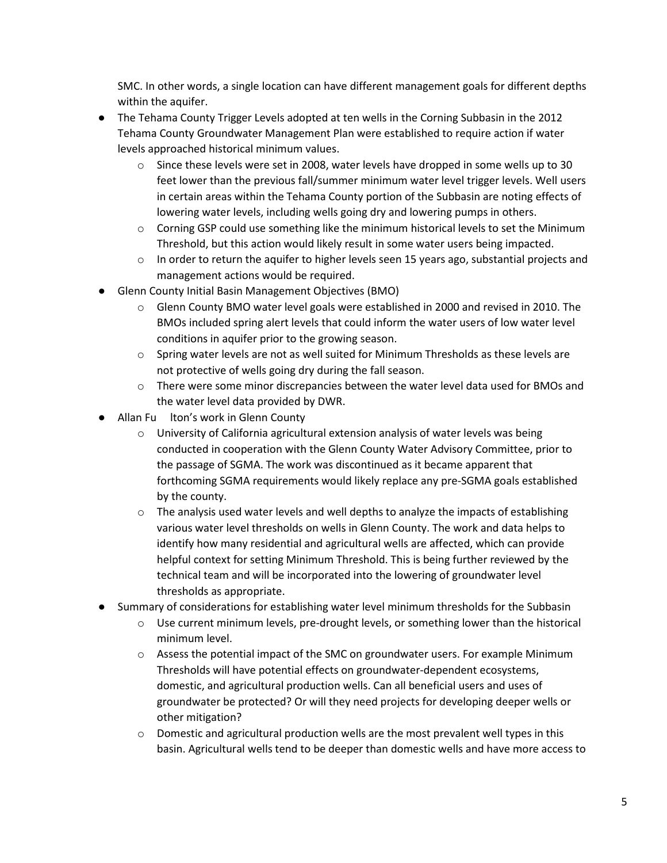SMC. In other words, a single location can have different management goals for different depths within the aquifer.

- The Tehama County Trigger Levels adopted at ten wells in the Corning Subbasin in the 2012 Tehama County Groundwater Management Plan were established to require action if water levels approached historical minimum values.
	- $\circ$  Since these levels were set in 2008, water levels have dropped in some wells up to 30 feet lower than the previous fall/summer minimum water level trigger levels. Well users in certain areas within the Tehama County portion of the Subbasin are noting effects of lowering water levels, including wells going dry and lowering pumps in others.
	- o Corning GSP could use something like the minimum historical levels to set the Minimum Threshold, but this action would likely result in some water users being impacted.
	- $\circ$  In order to return the aquifer to higher levels seen 15 years ago, substantial projects and management actions would be required.
- Glenn County Initial Basin Management Objectives (BMO)
	- $\circ$  Glenn County BMO water level goals were established in 2000 and revised in 2010. The BMOs included spring alert levels that could inform the water users of low water level conditions in aquifer prior to the growing season.
	- $\circ$  Spring water levels are not as well suited for Minimum Thresholds as these levels are not protective of wells going dry during the fall season.
	- $\circ$  There were some minor discrepancies between the water level data used for BMOs and the water level data provided by DWR.
- Allan Fu lton's work in Glenn County
	- $\circ$  University of California agricultural extension analysis of water levels was being conducted in cooperation with the Glenn County Water Advisory Committee, prior to the passage of SGMA. The work was discontinued as it became apparent that forthcoming SGMA requirements would likely replace any pre-SGMA goals established by the county.
	- $\circ$  The analysis used water levels and well depths to analyze the impacts of establishing various water level thresholds on wells in Glenn County. The work and data helps to identify how many residential and agricultural wells are affected, which can provide helpful context for setting Minimum Threshold. This is being further reviewed by the technical team and will be incorporated into the lowering of groundwater level thresholds as appropriate.
- Summary of considerations for establishing water level minimum thresholds for the Subbasin
	- o Use current minimum levels, pre-drought levels, or something lower than the historical minimum level.
	- $\circ$  Assess the potential impact of the SMC on groundwater users. For example Minimum Thresholds will have potential effects on groundwater-dependent ecosystems, domestic, and agricultural production wells. Can all beneficial users and uses of groundwater be protected? Or will they need projects for developing deeper wells or other mitigation?
	- $\circ$  Domestic and agricultural production wells are the most prevalent well types in this basin. Agricultural wells tend to be deeper than domestic wells and have more access to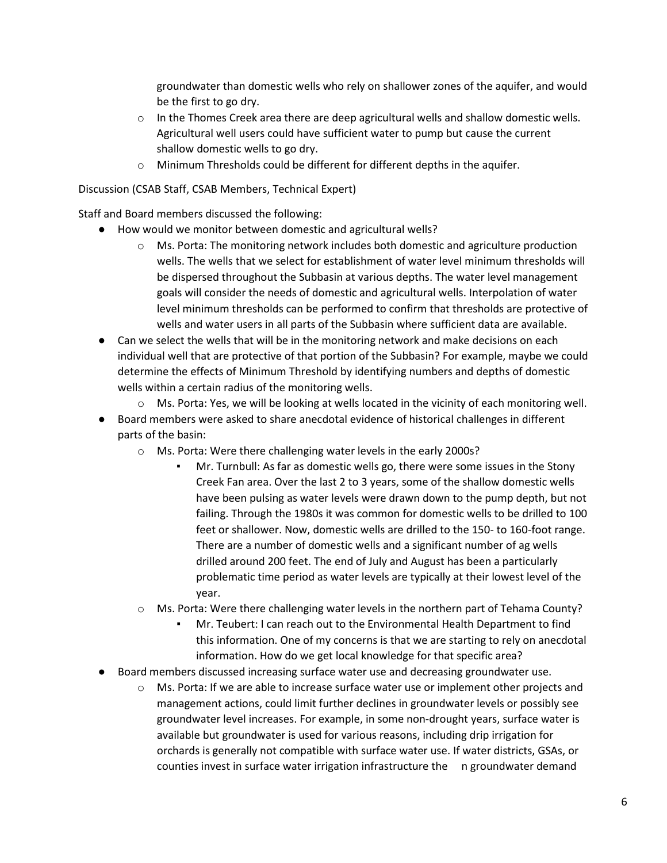groundwater than domestic wells who rely on shallower zones of the aquifer, and would be the first to go dry.

- $\circ$  In the Thomes Creek area there are deep agricultural wells and shallow domestic wells. Agricultural well users could have sufficient water to pump but cause the current shallow domestic wells to go dry.
- $\circ$  Minimum Thresholds could be different for different depths in the aquifer.

#### Discussion (CSAB Staff, CSAB Members, Technical Expert)

Staff and Board members discussed the following:

- How would we monitor between domestic and agricultural wells?
	- $\circ$  Ms. Porta: The monitoring network includes both domestic and agriculture production wells. The wells that we select for establishment of water level minimum thresholds will be dispersed throughout the Subbasin at various depths. The water level management goals will consider the needs of domestic and agricultural wells. Interpolation of water level minimum thresholds can be performed to confirm that thresholds are protective of wells and water users in all parts of the Subbasin where sufficient data are available.
- Can we select the wells that will be in the monitoring network and make decisions on each individual well that are protective of that portion of the Subbasin? For example, maybe we could determine the effects of Minimum Threshold by identifying numbers and depths of domestic wells within a certain radius of the monitoring wells.
	- $\circ$  Ms. Porta: Yes, we will be looking at wells located in the vicinity of each monitoring well.
- Board members were asked to share anecdotal evidence of historical challenges in different parts of the basin:
	- o Ms. Porta: Were there challenging water levels in the early 2000s?
		- Mr. Turnbull: As far as domestic wells go, there were some issues in the Stony Creek Fan area. Over the last 2 to 3 years, some of the shallow domestic wells have been pulsing as water levels were drawn down to the pump depth, but not failing. Through the 1980s it was common for domestic wells to be drilled to 100 feet or shallower. Now, domestic wells are drilled to the 150- to 160-foot range. There are a number of domestic wells and a significant number of ag wells drilled around 200 feet. The end of July and August has been a particularly problematic time period as water levels are typically at their lowest level of the year.
	- $\circ$  Ms. Porta: Were there challenging water levels in the northern part of Tehama County?
		- Mr. Teubert: I can reach out to the Environmental Health Department to find this information. One of my concerns is that we are starting to rely on anecdotal information. How do we get local knowledge for that specific area?
- Board members discussed increasing surface water use and decreasing groundwater use.
	- o Ms. Porta: If we are able to increase surface water use or implement other projects and management actions, could limit further declines in groundwater levels or possibly see groundwater level increases. For example, in some non-drought years, surface water is available but groundwater is used for various reasons, including drip irrigation for orchards is generally not compatible with surface water use. If water districts, GSAs, or counties invest in surface water irrigation infrastructure the n groundwater demand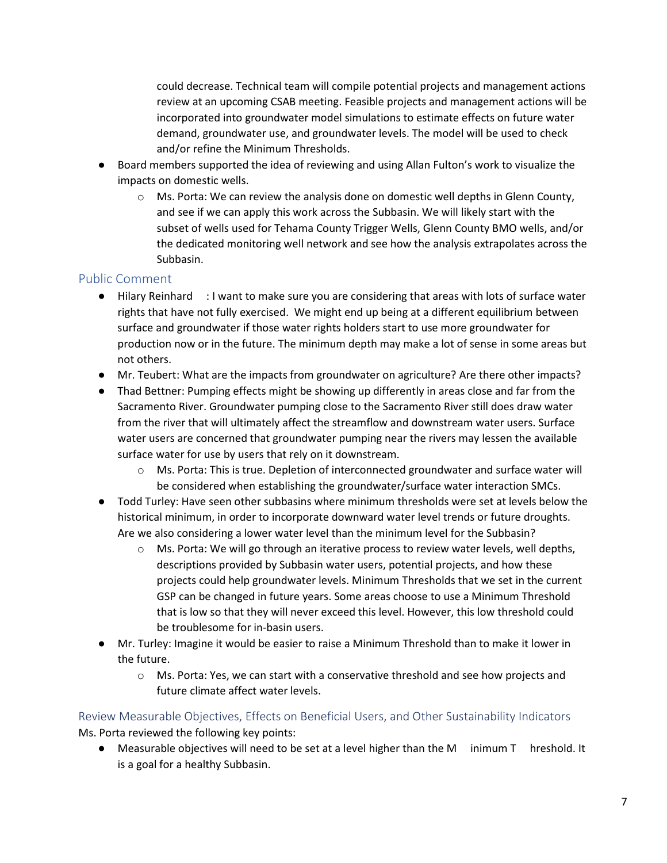could decrease. Technical team will compile potential projects and management actions review at an upcoming CSAB meeting. Feasible projects and management actions will be incorporated into groundwater model simulations to estimate effects on future water demand, groundwater use, and groundwater levels. The model will be used to check and/or refine the Minimum Thresholds.

- Board members supported the idea of reviewing and using Allan Fulton's work to visualize the impacts on domestic wells.
	- $\circ$  Ms. Porta: We can review the analysis done on domestic well depths in Glenn County, and see if we can apply this work across the Subbasin. We will likely start with the subset of wells used for Tehama County Trigger Wells, Glenn County BMO wells, and/or the dedicated monitoring well network and see how the analysis extrapolates across the Subbasin.

## Public Comment

- Hilary Reinhard : I want to make sure you are considering that areas with lots of surface water rights that have not fully exercised. We might end up being at a different equilibrium between surface and groundwater if those water rights holders start to use more groundwater for production now or in the future. The minimum depth may make a lot of sense in some areas but not others.
- Mr. Teubert: What are the impacts from groundwater on agriculture? Are there other impacts?
- Thad Bettner: Pumping effects might be showing up differently in areas close and far from the Sacramento River. Groundwater pumping close to the Sacramento River still does draw water from the river that will ultimately affect the streamflow and downstream water users. Surface water users are concerned that groundwater pumping near the rivers may lessen the available surface water for use by users that rely on it downstream*.*
	- o Ms. Porta: This is true. Depletion of interconnected groundwater and surface water will be considered when establishing the groundwater/surface water interaction SMCs.
- Todd Turley: Have seen other subbasins where minimum thresholds were set at levels below the historical minimum, in order to incorporate downward water level trends or future droughts. Are we also considering a lower water level than the minimum level for the Subbasin?
	- $\circ$  Ms. Porta: We will go through an iterative process to review water levels, well depths, descriptions provided by Subbasin water users, potential projects, and how these projects could help groundwater levels. Minimum Thresholds that we set in the current GSP can be changed in future years. Some areas choose to use a Minimum Threshold that is low so that they will never exceed this level. However, this low threshold could be troublesome for in-basin users.
- Mr. Turley: Imagine it would be easier to raise a Minimum Threshold than to make it lower in the future.
	- o Ms. Porta: Yes, we can start with a conservative threshold and see how projects and future climate affect water levels.

Review Measurable Objectives, Effects on Beneficial Users, and Other Sustainability Indicators Ms. Porta reviewed the following key points:

● Measurable objectives will need to be set at a level higher than the M inimum T hreshold. It is a goal for a healthy Subbasin.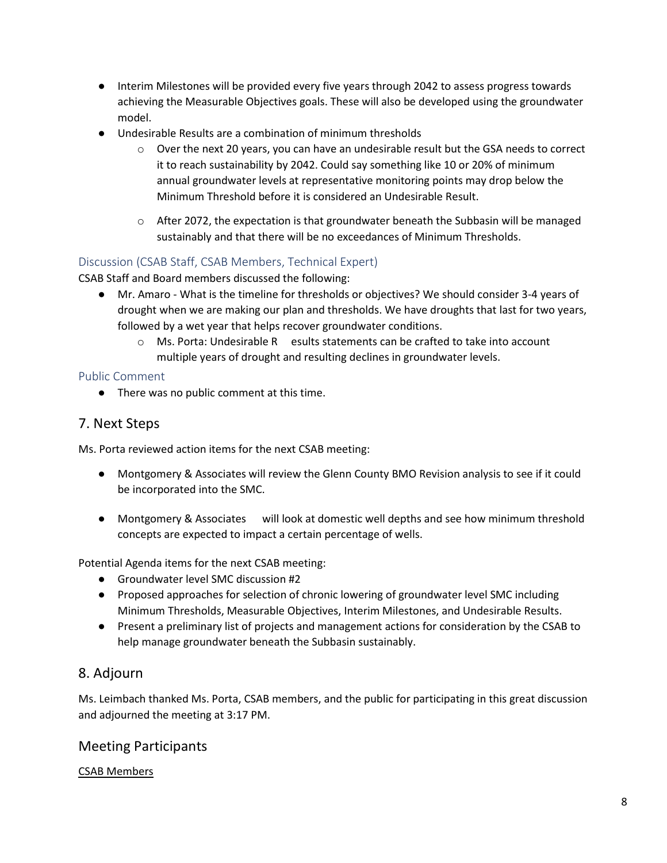- Interim Milestones will be provided every five years through 2042 to assess progress towards achieving the Measurable Objectives goals. These will also be developed using the groundwater model.
- Undesirable Results are a combination of minimum thresholds
	- Over the next 20 years, you can have an undesirable result but the GSA needs to correct it to reach sustainability by 2042. Could say something like 10 or 20% of minimum annual groundwater levels at representative monitoring points may drop below the Minimum Threshold before it is considered an Undesirable Result.
	- $\circ$  After 2072, the expectation is that groundwater beneath the Subbasin will be managed sustainably and that there will be no exceedances of Minimum Thresholds.

## Discussion (CSAB Staff, CSAB Members, Technical Expert)

CSAB Staff and Board members discussed the following:

- Mr. Amaro What is the timeline for thresholds or objectives? We should consider 3-4 years of drought when we are making our plan and thresholds. We have droughts that last for two years, followed by a wet year that helps recover groundwater conditions.
	- o Ms. Porta: Undesirable R esults statements can be crafted to take into account multiple years of drought and resulting declines in groundwater levels.

#### Public Comment

● There was no public comment at this time.

## 7. Next Steps

Ms. Porta reviewed action items for the next CSAB meeting:

- Montgomery & Associates will review the Glenn County BMO Revision analysis to see if it could be incorporated into the SMC.
- Montgomery & Associates will look at domestic well depths and see how minimum threshold concepts are expected to impact a certain percentage of wells.

Potential Agenda items for the next CSAB meeting:

- Groundwater level SMC discussion #2
- Proposed approaches for selection of chronic lowering of groundwater level SMC including Minimum Thresholds, Measurable Objectives, Interim Milestones, and Undesirable Results.
- Present a preliminary list of projects and management actions for consideration by the CSAB to help manage groundwater beneath the Subbasin sustainably.

## 8. Adjourn

Ms. Leimbach thanked Ms. Porta, CSAB members, and the public for participating in this great discussion and adjourned the meeting at 3:17 PM.

## Meeting Participants

#### CSAB Members